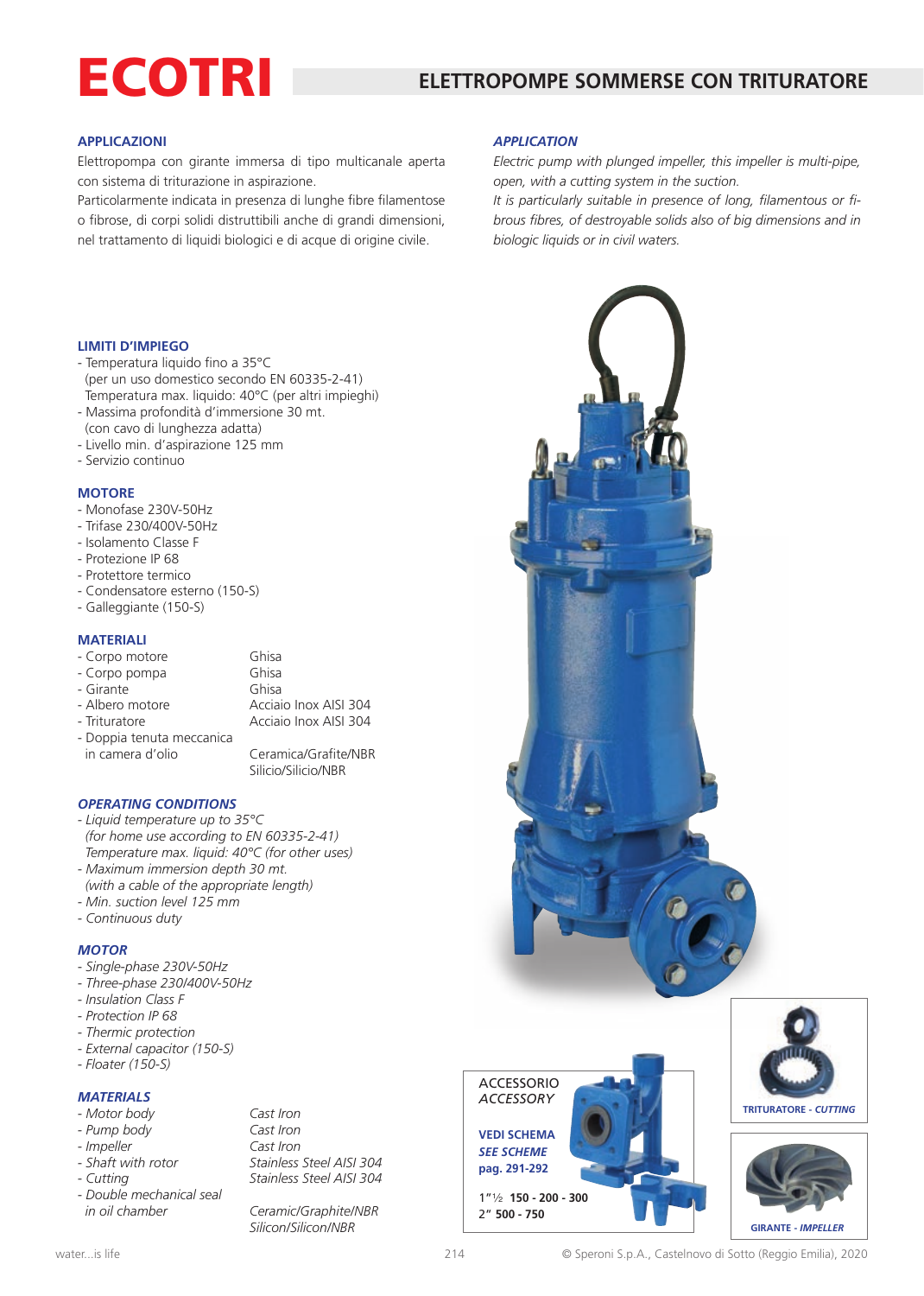# ECOTRI

# **APPLICAZIONI**

Elettropompa con girante immersa di tipo multicanale aperta con sistema di triturazione in aspirazione.

Particolarmente indicata in presenza di lunghe fibre filamentose o fibrose, di corpi solidi distruttibili anche di grandi dimensioni, nel trattamento di liquidi biologici e di acque di origine civile.

### *APPLICATION*

*Electric pump with plunged impeller, this impeller is multi-pipe, open, with a cutting system in the suction.* 

*It is particularly suitable in presence of long, filamentous or fibrous fibres, of destroyable solids also of big dimensions and in biologic liquids or in civil waters.*

#### **LIMITI D'IMPIEGO**

- Temperatura liquido fino a 35°C (per un uso domestico secondo EN 60335-2-41) Temperatura max. liquido: 40°C (per altri impieghi)
- Massima profondità d'immersione 30 mt. (con cavo di lunghezza adatta)
- Livello min. d'aspirazione 125 mm
- Servizio continuo

#### **MOTORE**

- Monofase 230V-50Hz
- Trifase 230/400V-50Hz
- Isolamento Classe F
- Protezione IP 68
- Protettore termico
- Condensatore esterno (150-S)
- Galleggiante (150-S)

# **MATERIALI**

| - Corpo motore            | Ghisa                 |
|---------------------------|-----------------------|
| - Corpo pompa             | Ghisa                 |
| - Girante                 | Ghisa                 |
| - Albero motore           | Acciaio Inox AISI 304 |
| - Trituratore             | Acciaio Inox AISI 304 |
| - Doppia tenuta meccanica |                       |
| in camera d'olio          | Ceramica/Grafite/NBR  |

Silicio/Silicio/NBR

*OPERATING CONDITIONS*

- *Liquid temperature up to 35°C (for home use according to EN 60335-2-41) Temperature max. liquid: 40°C (for other uses)*
- *Maximum immersion depth 30 mt.*
- *(with a cable of the appropriate length)*
- *Min. suction level 125 mm*
- *Continuous duty*

# *MOTOR*

- *Single-phase 230V-50Hz*
- *Three-phase 230/400V-50Hz*
- *Insulation Class F*
- *Protection IP 68*
- *Thermic protection*
- *External capacitor (150-S)*
- *Floater (150-S)*

# *MATERIALS*

| Motor body |  |
|------------|--|
|------------|--|

- *Pump body Cast Iron*
- 
- 
- 
- *Double mechanical seal in oil chamber Ceramic/Graphite/NBR*

*- Motor body Cast Iron - Impeller Cast Iron - Shaft with rotor Stainless Steel AISI 304 Stainless Steel AISI 304* 

*Silicon/Silicon/NBR*



ACCESSORIO *ACCESSORY*

**VEDI SCHEMA** *SEE SCHEME*  **pag. 291-292**

1"2 **150 - 200 - 300** 2" **500 - 750**